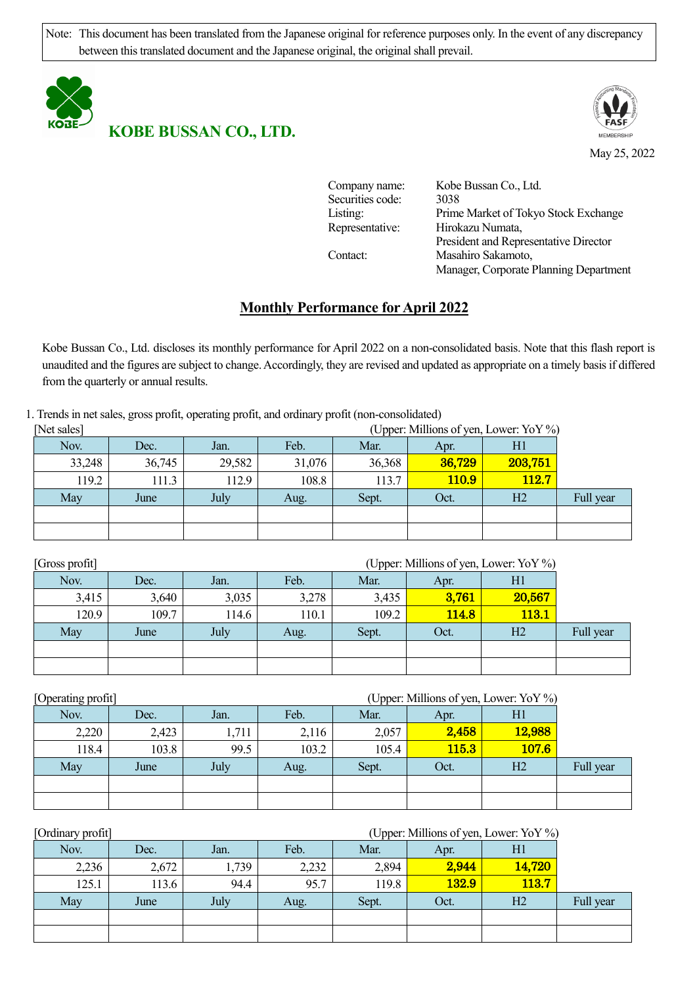Note: This document has been translated from the Japanese original for reference purposes only. In the event of any discrepancy between this translated document and the Japanese original, the original shall prevail.



**KOBE BUSSAN CO., LTD.**



May 25, 2022

| Company name:    | Kobe Bussan Co., Ltd.                  |
|------------------|----------------------------------------|
| Securities code: | 3038                                   |
| Listing:         | Prime Market of Tokyo Stock Exchange   |
| Representative:  | Hirokazu Numata,                       |
|                  | President and Representative Director  |
| Contact:         | Masahiro Sakamoto,                     |
|                  | Manager, Corporate Planning Department |

## **Monthly Performance for April 2022**

Kobe Bussan Co., Ltd. discloses its monthly performance for April 2022 on a non-consolidated basis. Note that this flash report is unaudited and the figures are subject to change. Accordingly, they are revised and updated as appropriate on a timely basis if differed from the quarterly or annual results.

1. Trends in net sales, gross profit, operating profit, and ordinary profit (non-consolidated)

| [Net sales] | (Upper: Millions of yen, Lower: YoY %) |        |        |        |              |         |           |  |  |
|-------------|----------------------------------------|--------|--------|--------|--------------|---------|-----------|--|--|
| Nov.        | Dec.                                   | Jan.   | Feb.   | Mar.   | Apr.         | H1      |           |  |  |
| 33,248      | 36,745                                 | 29,582 | 31,076 | 36,368 | 36,729       | 203,751 |           |  |  |
| 119.2       | 111.3                                  | 112.9  | 108.8  | 113.7  | <b>110.9</b> | 112.7   |           |  |  |
| May         | June                                   | July   | Aug.   | Sept.  | Oct.         | H2      | Full year |  |  |
|             |                                        |        |        |        |              |         |           |  |  |
|             |                                        |        |        |        |              |         |           |  |  |

| [Gross profit] | (Upper: Millions of yen, Lower: YoY %) |       |       |       |       |                |           |  |  |  |
|----------------|----------------------------------------|-------|-------|-------|-------|----------------|-----------|--|--|--|
| Nov.           | Dec.                                   | Jan.  | Feb.  | Mar.  | Apr.  | H1             |           |  |  |  |
| 3,415          | 3,640                                  | 3,035 | 3,278 | 3,435 | 3,761 | 20,567         |           |  |  |  |
| 120.9          | 109.7                                  | 14.6  | 110.1 | 109.2 | 114.8 | <b>113.1</b>   |           |  |  |  |
| May            | June                                   | July  | Aug.  | Sept. | Oct.  | H <sub>2</sub> | Full year |  |  |  |
|                |                                        |       |       |       |       |                |           |  |  |  |
|                |                                        |       |       |       |       |                |           |  |  |  |

| [Operating profit] |       | (Upper: Millions of yen, Lower: YoY %) |       |       |       |                |           |  |  |  |  |
|--------------------|-------|----------------------------------------|-------|-------|-------|----------------|-----------|--|--|--|--|
| Nov.               | Dec.  | Jan.                                   | Feb.  | Mar.  | Apr.  | H <sub>1</sub> |           |  |  |  |  |
| 2,220              | 2,423 | 1,711                                  | 2,116 | 2,057 | 2,458 | 12,988         |           |  |  |  |  |
| 118.4              | 103.8 | 99.5                                   | 103.2 | 105.4 | 115.3 | 107.6          |           |  |  |  |  |
| May                | June  | July                                   | Aug.  | Sept. | Oct.  | H <sub>2</sub> | Full year |  |  |  |  |
|                    |       |                                        |       |       |       |                |           |  |  |  |  |
|                    |       |                                        |       |       |       |                |           |  |  |  |  |

| [Ordinary profit] | (Upper: Millions of yen, Lower: YoY %) |       |       |       |              |                |           |  |  |
|-------------------|----------------------------------------|-------|-------|-------|--------------|----------------|-----------|--|--|
| Nov.              | Dec.                                   | Jan.  | Feb.  | Mar.  | Apr.         | Hl             |           |  |  |
| 2,236             | 2,672                                  | 1,739 | 2,232 | 2,894 | 2,944        | 14,720         |           |  |  |
| 125.1             | 113.6                                  | 94.4  | 95.7  | 119.8 | <b>132.9</b> | 113.7          |           |  |  |
| May               | June                                   | July  | Aug.  | Sept. | Oct.         | H <sub>2</sub> | Full year |  |  |
|                   |                                        |       |       |       |              |                |           |  |  |
|                   |                                        |       |       |       |              |                |           |  |  |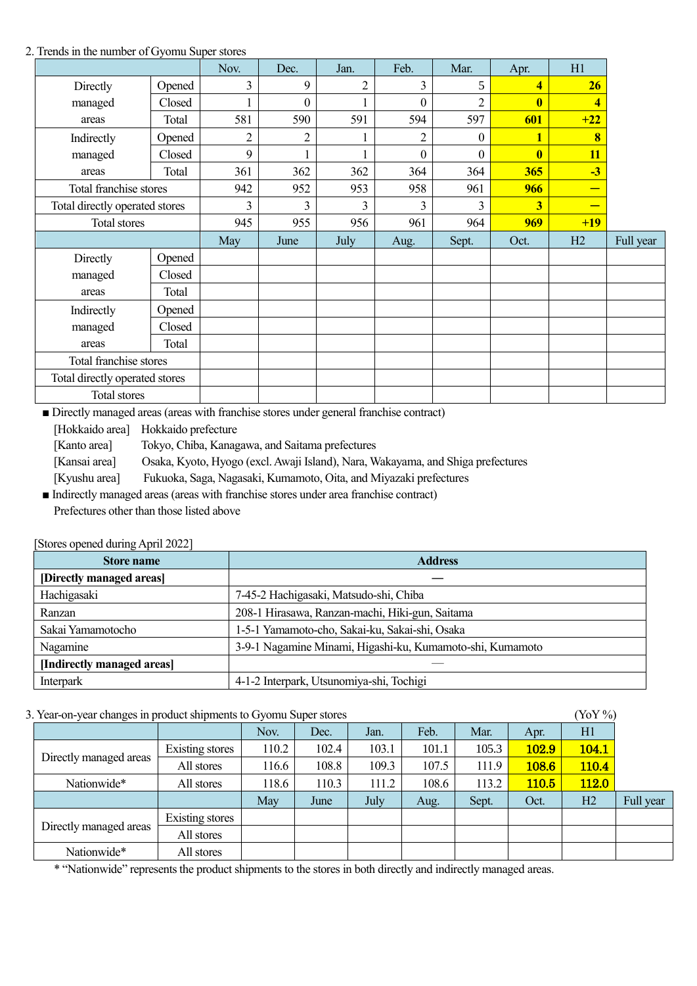## 2. Trends in the number of Gyomu Super stores

|                                |        | Nov.           | Dec.             | Jan.           | Feb.             | Mar.             | Apr.                    | H1    |           |
|--------------------------------|--------|----------------|------------------|----------------|------------------|------------------|-------------------------|-------|-----------|
| Directly                       | Opened | 3              | 9                | $\overline{2}$ | 3                | 5                | $\overline{\mathbf{4}}$ | 26    |           |
| managed                        | Closed |                | $\boldsymbol{0}$ |                | $\boldsymbol{0}$ | $\overline{2}$   | $\bf{0}$                | 4     |           |
| areas                          | Total  | 581            | 590              | 591            | 594              | 597              | 601                     | $+22$ |           |
| Indirectly                     | Opened | $\overline{2}$ | 2                |                | $\overline{2}$   | $\boldsymbol{0}$ | 1                       | 8     |           |
| managed                        | Closed | 9              | 1                |                | $\boldsymbol{0}$ | $\overline{0}$   | $\bf{0}$                | 11    |           |
| areas                          | Total  | 361            | 362              | 362            | 364              | 364              | 365                     | $-3$  |           |
| Total franchise stores         |        | 942            | 952              | 953            | 958              | 961              | 966                     | -     |           |
| Total directly operated stores |        | 3              | 3                | 3              | $\overline{3}$   | 3                | $\overline{\mathbf{3}}$ |       |           |
| Total stores                   |        | 945            | 955              | 956            | 961              | 964              | 969                     | $+19$ |           |
|                                |        | May            | June             | July           | Aug.             | Sept.            | Oct.                    | H2    | Full year |
| Directly                       | Opened |                |                  |                |                  |                  |                         |       |           |
| managed                        | Closed |                |                  |                |                  |                  |                         |       |           |
| areas                          | Total  |                |                  |                |                  |                  |                         |       |           |
| Indirectly                     | Opened |                |                  |                |                  |                  |                         |       |           |
| managed                        | Closed |                |                  |                |                  |                  |                         |       |           |
| areas                          | Total  |                |                  |                |                  |                  |                         |       |           |
| Total franchise stores         |        |                |                  |                |                  |                  |                         |       |           |
| Total directly operated stores |        |                |                  |                |                  |                  |                         |       |           |
| <b>Total stores</b>            |        |                |                  |                |                  |                  |                         |       |           |

■ Directly managed areas (areas with franchise stores under general franchise contract)

[Hokkaido area] Hokkaido prefecture

[Kanto area] Tokyo, Chiba, Kanagawa, and Saitama prefectures

[Kansai area] Osaka, Kyoto, Hyogo (excl. Awaji Island), Nara, Wakayama, and Shiga prefectures

[Kyushu area] Fukuoka, Saga, Nagasaki, Kumamoto, Oita, and Miyazaki prefectures

■ Indirectly managed areas (areas with franchise stores under area franchise contract) Prefectures other than those listed above

|  |  | [Stores opened during April 2022] |  |
|--|--|-----------------------------------|--|
|--|--|-----------------------------------|--|

| <b>Store name</b>          | <b>Address</b>                                            |
|----------------------------|-----------------------------------------------------------|
| [Directly managed areas]   |                                                           |
| Hachigasaki                | 7-45-2 Hachigasaki, Matsudo-shi, Chiba                    |
| Ranzan                     | 208-1 Hirasawa, Ranzan-machi, Hiki-gun, Saitama           |
| Sakai Yamamotocho          | 1-5-1 Yamamoto-cho, Sakai-ku, Sakai-shi, Osaka            |
| Nagamine                   | 3-9-1 Nagamine Minami, Higashi-ku, Kumamoto-shi, Kumamoto |
| [Indirectly managed areas] |                                                           |
| Interpark                  | 4-1-2 Interpark, Utsunomiya-shi, Tochigi                  |

3. Year-on-year changes in product shipments to Gyomu Super stores (YoY %)

| $\alpha$ is the state of the state of the subset of the state of $\alpha$ in $\alpha$ is the state of $\alpha$<br>101/01 |                 |       |       |       |       |       |              |              |           |
|--------------------------------------------------------------------------------------------------------------------------|-----------------|-------|-------|-------|-------|-------|--------------|--------------|-----------|
|                                                                                                                          |                 | Nov.  | Dec.  | Jan.  | Feb.  | Mar.  | Apr.         | H1           |           |
|                                                                                                                          | Existing stores | 110.2 | 102.4 | 103.1 | 101.1 | 105.3 | <b>102.9</b> | 104.1        |           |
| Directly managed areas                                                                                                   | All stores      | 116.6 | 108.8 | 109.3 | 107.5 | 111.9 | 108.6        | 110.4        |           |
| Nationwide*                                                                                                              | All stores      | 118.6 | 110.3 | 111.2 | 108.6 | 113.2 | <b>110.5</b> | <b>112.0</b> |           |
|                                                                                                                          |                 | May   | June  | July  | Aug.  | Sept. | Oct.         | H2           | Full year |
|                                                                                                                          | Existing stores |       |       |       |       |       |              |              |           |
| Directly managed areas                                                                                                   | All stores      |       |       |       |       |       |              |              |           |
| Nationwide*                                                                                                              | All stores      |       |       |       |       |       |              |              |           |

\* "Nationwide" represents the product shipments to the stores in both directly and indirectly managed areas.